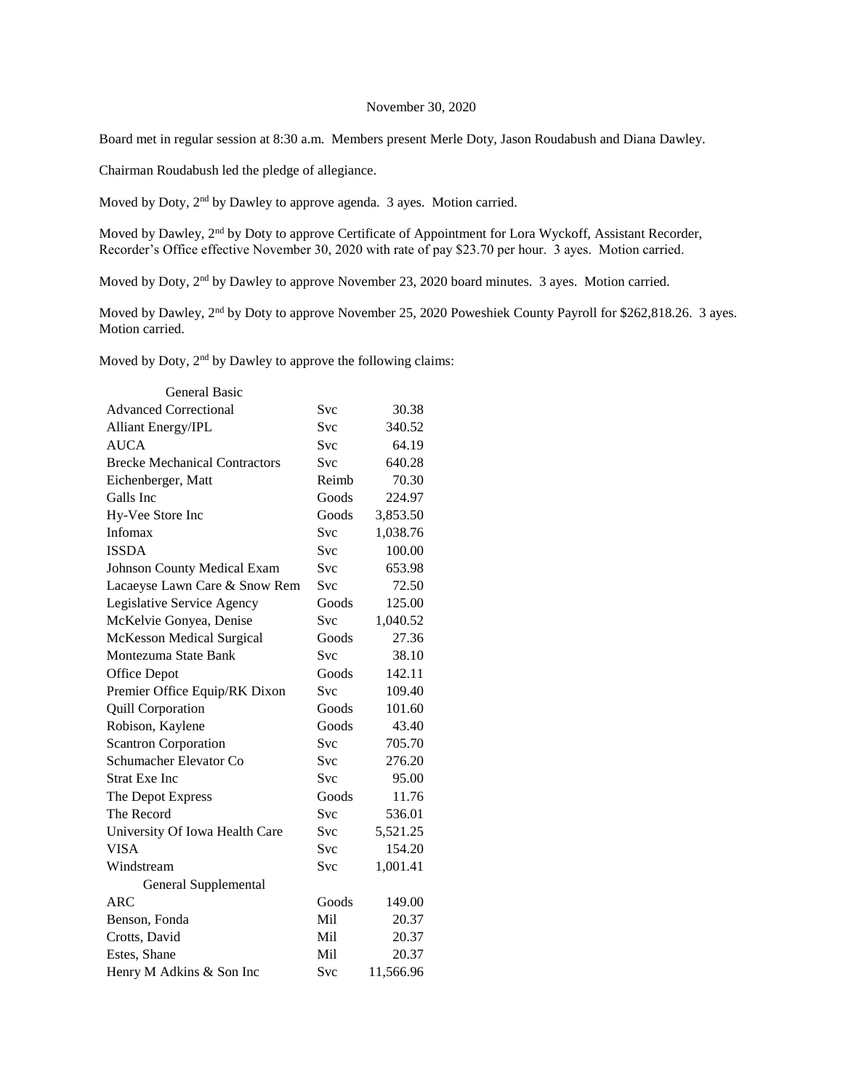## November 30, 2020

Board met in regular session at 8:30 a.m. Members present Merle Doty, Jason Roudabush and Diana Dawley.

Chairman Roudabush led the pledge of allegiance.

Moved by Doty, 2<sup>nd</sup> by Dawley to approve agenda. 3 ayes. Motion carried.

Moved by Dawley, 2nd by Doty to approve Certificate of Appointment for Lora Wyckoff, Assistant Recorder, Recorder's Office effective November 30, 2020 with rate of pay \$23.70 per hour. 3 ayes. Motion carried.

Moved by Doty, 2<sup>nd</sup> by Dawley to approve November 23, 2020 board minutes. 3 ayes. Motion carried.

Moved by Dawley, 2<sup>nd</sup> by Doty to approve November 25, 2020 Poweshiek County Payroll for \$262,818.26. 3 ayes. Motion carried.

Moved by Doty,  $2<sup>nd</sup>$  by Dawley to approve the following claims:

| <b>General Basic</b>                 |            |           |
|--------------------------------------|------------|-----------|
| <b>Advanced Correctional</b>         | Svc        | 30.38     |
| <b>Alliant Energy/IPL</b>            | <b>Svc</b> | 340.52    |
| <b>AUCA</b>                          | Svc        | 64.19     |
| <b>Brecke Mechanical Contractors</b> | <b>Svc</b> | 640.28    |
| Eichenberger, Matt                   | Reimb      | 70.30     |
| Galls Inc                            | Goods      | 224.97    |
| Hy-Vee Store Inc                     | Goods      | 3,853.50  |
| Infomax                              | <b>Svc</b> | 1,038.76  |
| <b>ISSDA</b>                         | <b>Svc</b> | 100.00    |
| <b>Johnson County Medical Exam</b>   | <b>Svc</b> | 653.98    |
| Lacaeyse Lawn Care & Snow Rem        | <b>Svc</b> | 72.50     |
| Legislative Service Agency           | Goods      | 125.00    |
| McKelvie Gonyea, Denise              | <b>Svc</b> | 1,040.52  |
| <b>McKesson Medical Surgical</b>     | Goods      | 27.36     |
| Montezuma State Bank                 | <b>Svc</b> | 38.10     |
| Office Depot                         | Goods      | 142.11    |
| Premier Office Equip/RK Dixon        | Svc        | 109.40    |
| Quill Corporation                    | Goods      | 101.60    |
| Robison, Kaylene                     | Goods      | 43.40     |
| <b>Scantron Corporation</b>          | <b>Svc</b> | 705.70    |
| Schumacher Elevator Co               | Svc        | 276.20    |
| <b>Strat Exe Inc</b>                 | <b>Svc</b> | 95.00     |
| The Depot Express                    | Goods      | 11.76     |
| The Record                           | <b>Svc</b> | 536.01    |
| University Of Iowa Health Care       | <b>Svc</b> | 5,521.25  |
| <b>VISA</b>                          | <b>Svc</b> | 154.20    |
| Windstream                           | Svc        | 1,001.41  |
| General Supplemental                 |            |           |
| ARC                                  | Goods      | 149.00    |
| Benson, Fonda                        | Mil        | 20.37     |
| Crotts, David                        | Mil        | 20.37     |
| Estes, Shane                         | Mil        | 20.37     |
| Henry M Adkins & Son Inc             | Svc        | 11,566.96 |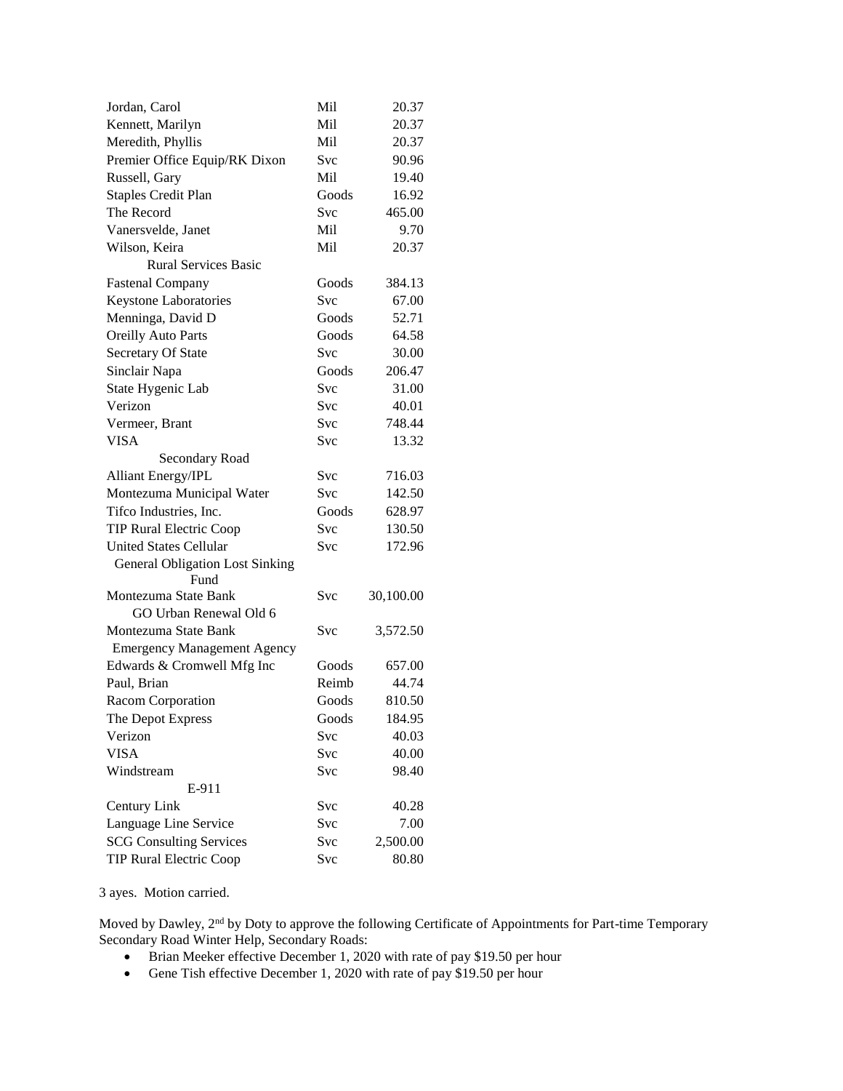| Jordan, Carol                          | Mil   | 20.37     |
|----------------------------------------|-------|-----------|
| Kennett, Marilyn                       | Mil   | 20.37     |
| Meredith, Phyllis                      | Mil   | 20.37     |
| Premier Office Equip/RK Dixon          | Svc   | 90.96     |
| Russell, Gary                          | Mil   | 19.40     |
| <b>Staples Credit Plan</b>             | Goods | 16.92     |
| The Record                             | Svc   | 465.00    |
| Vanersvelde, Janet                     | Mil   | 9.70      |
| Wilson, Keira                          | Mil   | 20.37     |
| <b>Rural Services Basic</b>            |       |           |
| <b>Fastenal Company</b>                | Goods | 384.13    |
| Keystone Laboratories                  | Svc   | 67.00     |
| Menninga, David D                      | Goods | 52.71     |
| <b>Oreilly Auto Parts</b>              | Goods | 64.58     |
| Secretary Of State                     | Svc   | 30.00     |
| Sinclair Napa                          | Goods | 206.47    |
| State Hygenic Lab                      | Svc   | 31.00     |
| Verizon                                | Svc   | 40.01     |
| Vermeer, Brant                         | Svc   | 748.44    |
| <b>VISA</b>                            | Svc   | 13.32     |
| Secondary Road                         |       |           |
| <b>Alliant Energy/IPL</b>              | Svc   | 716.03    |
| Montezuma Municipal Water              | Svc   | 142.50    |
| Tifco Industries, Inc.                 | Goods | 628.97    |
| <b>TIP Rural Electric Coop</b>         | Svc   | 130.50    |
| <b>United States Cellular</b>          | Svc   | 172.96    |
| <b>General Obligation Lost Sinking</b> |       |           |
| Fund<br>Montezuma State Bank           | Svc   | 30,100.00 |
| GO Urban Renewal Old 6                 |       |           |
| Montezuma State Bank                   | Svc   | 3,572.50  |
| <b>Emergency Management Agency</b>     |       |           |
| Edwards & Cromwell Mfg Inc             | Goods | 657.00    |
| Paul, Brian                            | Reimb | 44.74     |
| Racom Corporation                      | Goods | 810.50    |
| The Depot Express                      | Goods | 184.95    |
| Verizon                                | Svc   | 40.03     |
| <b>VISA</b>                            | Svc   | 40.00     |
| Windstream                             | Svc   | 98.40     |
| E-911                                  |       |           |
| Century Link                           | Svc   | 40.28     |
| Language Line Service                  | Svc   | 7.00      |
| <b>SCG Consulting Services</b>         | Svc   | 2,500.00  |
| <b>TIP Rural Electric Coop</b>         | Svc   | 80.80     |

3 ayes. Motion carried.

Moved by Dawley, 2<sup>nd</sup> by Doty to approve the following Certificate of Appointments for Part-time Temporary Secondary Road Winter Help, Secondary Roads:

- Brian Meeker effective December 1, 2020 with rate of pay \$19.50 per hour
- Gene Tish effective December 1, 2020 with rate of pay \$19.50 per hour